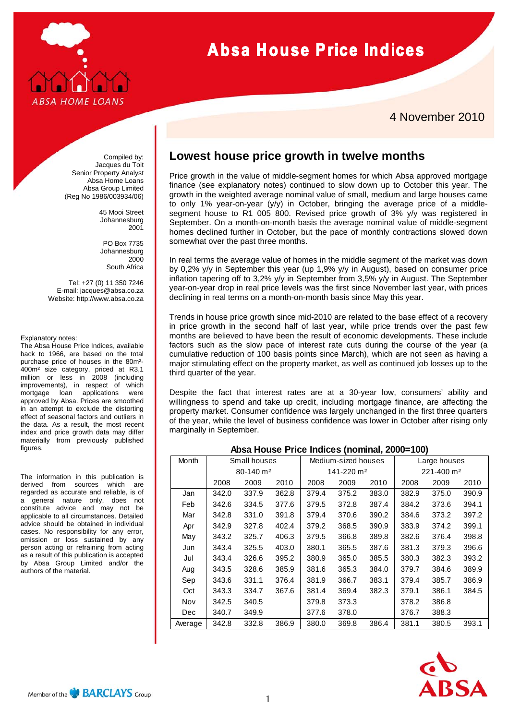

# **Absa House Price Indices**

### 4 November 2010

Compiled by: Jacques du Toit Senior Property Analyst Absa Home Loans Absa Group Limited (Reg No 1986/003934/06)

> 45 Mooi Street Johannesburg 2001

PO Box 7735 Johannesburg 2000 South Africa

Tel: +27 (0) 11 350 7246 E-mail: jacques@absa.co.za Website: http://www.absa.co.za

#### Explanatory notes:

The Absa House Price Indices, available back to 1966, are based on the total purchase price of houses in the 80m²- 400m² size category, priced at R3,1 million or less in 2008 (including improvements), in respect of which mortgage loan applications were approved by Absa. Prices are smoothed in an attempt to exclude the distorting effect of seasonal factors and outliers in the data. As a result, the most recent index and price growth data may differ materially from previously published figures.

The information in this publication is derived from sources which are regarded as accurate and reliable, is of a general nature only, does not constitute advice and may not be applicable to all circumstances. Detailed advice should be obtained in individual cases. No responsibility for any error, omission or loss sustained by any person acting or refraining from acting as a result of this publication is accepted by Absa Group Limited and/or the authors of the material.

# **Lowest house price growth in twelve months**

Price growth in the value of middle-segment homes for which Absa approved mortgage finance (see explanatory notes) continued to slow down up to October this year. The growth in the weighted average nominal value of small, medium and large houses came to only 1% year-on-year (y/y) in October, bringing the average price of a middlesegment house to R1 005 800. Revised price growth of 3% y/y was registered in September. On a month-on-month basis the average nominal value of middle-segment homes declined further in October, but the pace of monthly contractions slowed down somewhat over the past three months.

In real terms the average value of homes in the middle segment of the market was down by 0,2% y/y in September this year (up 1,9% y/y in August), based on consumer price inflation tapering off to 3,2% y/y in September from 3,5% y/y in August. The September year-on-year drop in real price levels was the first since November last year, with prices declining in real terms on a month-on-month basis since May this year.

Trends in house price growth since mid-2010 are related to the base effect of a recovery in price growth in the second half of last year, while price trends over the past few months are believed to have been the result of economic developments. These include factors such as the slow pace of interest rate cuts during the course of the year (a cumulative reduction of 100 basis points since March), which are not seen as having a major stimulating effect on the property market, as well as continued job losses up to the third quarter of the year.

Despite the fact that interest rates are at a 30-year low, consumers' ability and willingness to spend and take up credit, including mortgage finance, are affecting the property market. Consumer confidence was largely unchanged in the first three quarters of the year, while the level of business confidence was lower in October after rising only marginally in September.

| Month   | Small houses              |       |       | Medium-sized houses    |       |       | Large houses           |       |       |
|---------|---------------------------|-------|-------|------------------------|-------|-------|------------------------|-------|-------|
|         | $80 - 140$ m <sup>2</sup> |       |       | 141-220 m <sup>2</sup> |       |       | 221-400 m <sup>2</sup> |       |       |
|         | 2008                      | 2009  | 2010  | 2008                   | 2009  | 2010  | 2008                   | 2009  | 2010  |
| Jan     | 342.0                     | 337.9 | 362.8 | 379.4                  | 375.2 | 383.0 | 382.9                  | 375.0 | 390.9 |
| Feb     | 342.6                     | 334.5 | 377.6 | 379.5                  | 372.8 | 387.4 | 384.2                  | 373.6 | 394.1 |
| Mar     | 342.8                     | 331.0 | 391.8 | 379.4                  | 370.6 | 390.2 | 384.6                  | 373.2 | 397.2 |
| Apr     | 342.9                     | 327.8 | 402.4 | 379.2                  | 368.5 | 390.9 | 383.9                  | 374.2 | 399.1 |
| May     | 343.2                     | 325.7 | 406.3 | 379.5                  | 366.8 | 389.8 | 382.6                  | 376.4 | 398.8 |
| Jun     | 343.4                     | 325.5 | 403.0 | 380.1                  | 365.5 | 387.6 | 381.3                  | 379.3 | 396.6 |
| Jul     | 343.4                     | 326.6 | 395.2 | 380.9                  | 365.0 | 385.5 | 380.3                  | 382.3 | 393.2 |
| Aug     | 343.5                     | 328.6 | 385.9 | 381.6                  | 365.3 | 384.0 | 379.7                  | 384.6 | 389.9 |
| Sep     | 343.6                     | 331.1 | 376.4 | 381.9                  | 366.7 | 383.1 | 379.4                  | 385.7 | 386.9 |
| Oct     | 343.3                     | 334.7 | 367.6 | 381.4                  | 369.4 | 382.3 | 379.1                  | 386.1 | 384.5 |
| Nov     | 342.5                     | 340.5 |       | 379.8                  | 373.3 |       | 378.2                  | 386.8 |       |
| Dec     | 340.7                     | 349.9 |       | 377.6                  | 378.0 |       | 376.7                  | 388.3 |       |
| Average | 342.8                     | 332.8 | 386.9 | 380.0                  | 369.8 | 386.4 | 381.1                  | 380.5 | 393.1 |

### **Absa House Price Indices (nominal, 2000=100)**

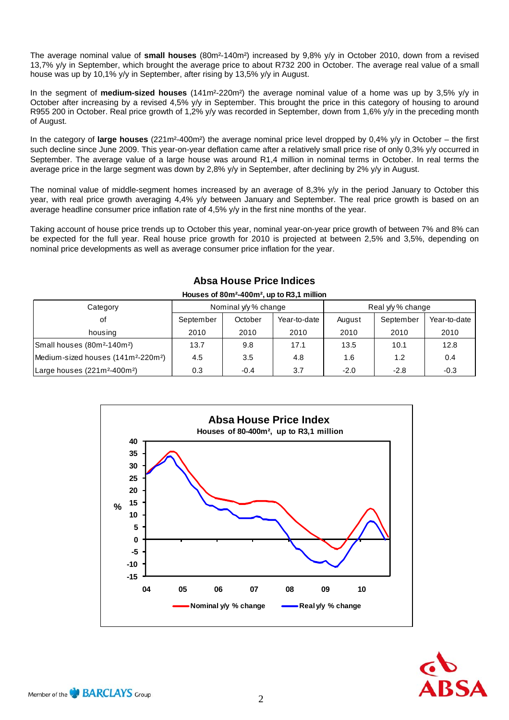The average nominal value of **small houses** (80m²-140m²) increased by 9,8% y/y in October 2010, down from a revised 13,7% y/y in September, which brought the average price to about R732 200 in October. The average real value of a small house was up by 10,1% y/y in September, after rising by 13,5% y/y in August.

In the segment of **medium-sized houses** (141m²-220m²) the average nominal value of a home was up by 3,5% y/y in October after increasing by a revised 4,5% y/y in September. This brought the price in this category of housing to around R955 200 in October. Real price growth of 1,2% y/y was recorded in September, down from 1,6% y/y in the preceding month of August.

In the category of **large houses** (221m²-400m²) the average nominal price level dropped by 0,4% y/y in October – the first such decline since June 2009. This year-on-year deflation came after a relatively small price rise of only 0,3% y/y occurred in September. The average value of a large house was around R1,4 million in nominal terms in October. In real terms the average price in the large segment was down by 2,8% y/y in September, after declining by 2% y/y in August.

The nominal value of middle-segment homes increased by an average of 8,3% y/y in the period January to October this year, with real price growth averaging 4,4% y/y between January and September. The real price growth is based on an average headline consumer price inflation rate of 4,5% y/y in the first nine months of the year.

Taking account of house price trends up to October this year, nominal year-on-year price growth of between 7% and 8% can be expected for the full year. Real house price growth for 2010 is projected at between 2,5% and 3,5%, depending on nominal price developments as well as average consumer price inflation for the year.

| Houses of 80m <sup>2</sup> -400m <sup>2</sup> , up to R3,1 million |           |                      |              |                   |           |              |  |  |  |  |  |  |
|--------------------------------------------------------------------|-----------|----------------------|--------------|-------------------|-----------|--------------|--|--|--|--|--|--|
| Category                                                           |           | Nominal y/y % change |              | Real y/y % change |           |              |  |  |  |  |  |  |
| οf                                                                 | September | October              | Year-to-date | August            | September | Year-to-date |  |  |  |  |  |  |
| housing                                                            | 2010      | 2010                 | 2010         | 2010              | 2010      | 2010         |  |  |  |  |  |  |
| Small houses (80m <sup>2</sup> -140m <sup>2</sup> )                | 13.7      | 9.8                  | 17.1         | 13.5              | 10.1      | 12.8         |  |  |  |  |  |  |
| Medium-sized houses (141m <sup>2</sup> -220m <sup>2</sup> )        | 4.5       | 3.5                  | 4.8          | 1.6               | 1.2       | 0.4          |  |  |  |  |  |  |
| Large houses (221m <sup>2</sup> -400m <sup>2</sup> )               | 0.3       | $-0.4$               | 3.7          | $-2.0$            | $-2.8$    | $-0.3$       |  |  |  |  |  |  |

## **Absa House Price Indices**